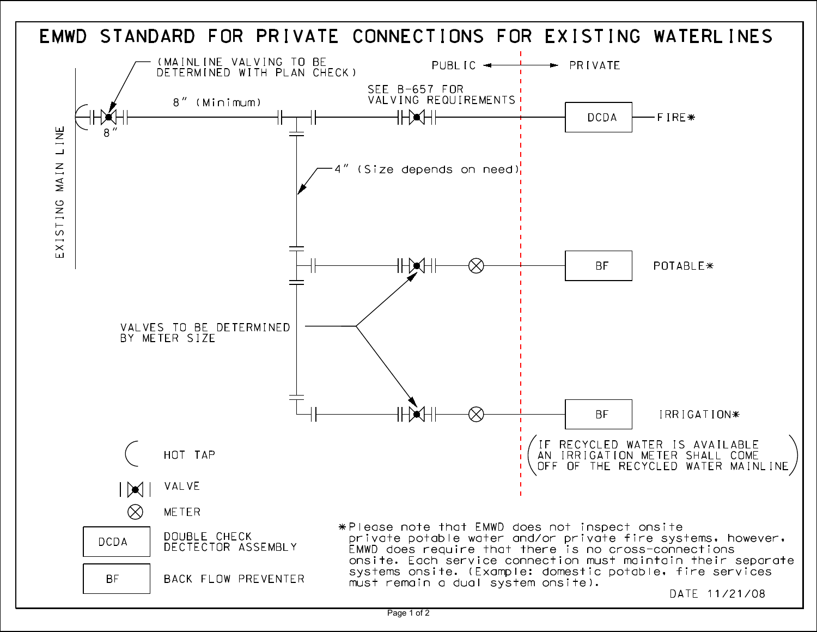